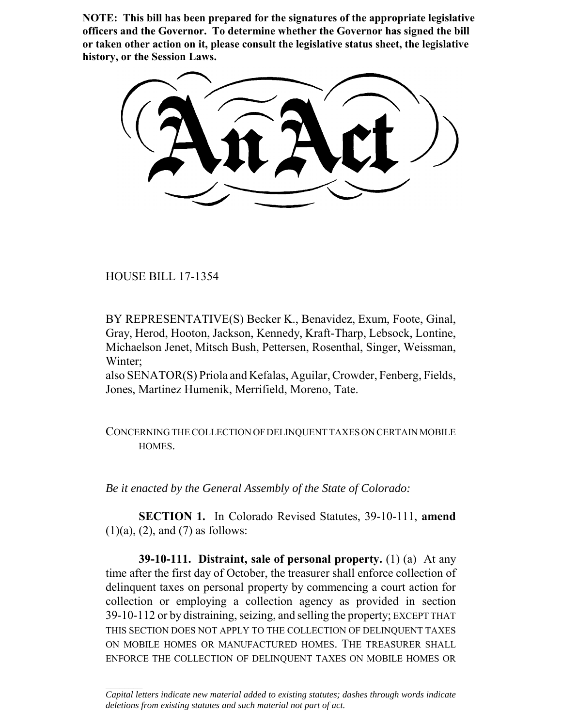**NOTE: This bill has been prepared for the signatures of the appropriate legislative officers and the Governor. To determine whether the Governor has signed the bill or taken other action on it, please consult the legislative status sheet, the legislative history, or the Session Laws.**

HOUSE BILL 17-1354

 $\frac{1}{2}$ 

BY REPRESENTATIVE(S) Becker K., Benavidez, Exum, Foote, Ginal, Gray, Herod, Hooton, Jackson, Kennedy, Kraft-Tharp, Lebsock, Lontine, Michaelson Jenet, Mitsch Bush, Pettersen, Rosenthal, Singer, Weissman, Winter;

also SENATOR(S) Priola and Kefalas, Aguilar, Crowder, Fenberg, Fields, Jones, Martinez Humenik, Merrifield, Moreno, Tate.

CONCERNING THE COLLECTION OF DELINQUENT TAXES ON CERTAIN MOBILE HOMES.

*Be it enacted by the General Assembly of the State of Colorado:*

**SECTION 1.** In Colorado Revised Statutes, 39-10-111, **amend**  $(1)(a)$ ,  $(2)$ , and  $(7)$  as follows:

**39-10-111. Distraint, sale of personal property.** (1) (a) At any time after the first day of October, the treasurer shall enforce collection of delinquent taxes on personal property by commencing a court action for collection or employing a collection agency as provided in section 39-10-112 or by distraining, seizing, and selling the property; EXCEPT THAT THIS SECTION DOES NOT APPLY TO THE COLLECTION OF DELINQUENT TAXES ON MOBILE HOMES OR MANUFACTURED HOMES. THE TREASURER SHALL ENFORCE THE COLLECTION OF DELINQUENT TAXES ON MOBILE HOMES OR

*Capital letters indicate new material added to existing statutes; dashes through words indicate deletions from existing statutes and such material not part of act.*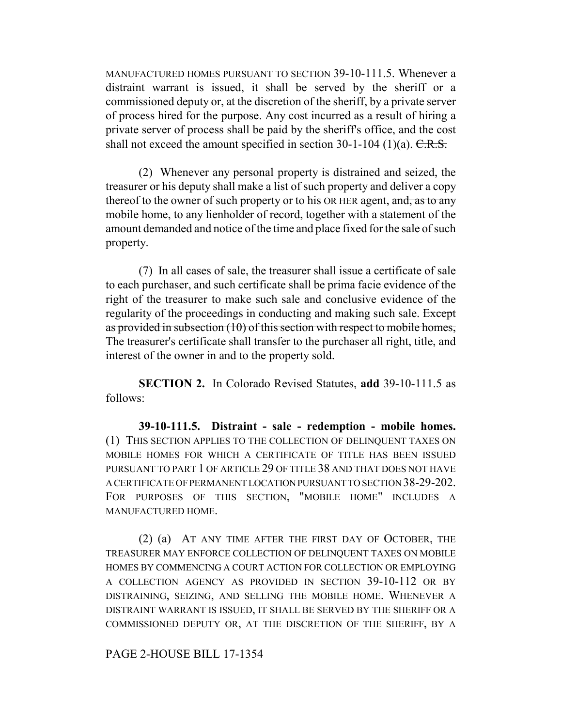MANUFACTURED HOMES PURSUANT TO SECTION 39-10-111.5. Whenever a distraint warrant is issued, it shall be served by the sheriff or a commissioned deputy or, at the discretion of the sheriff, by a private server of process hired for the purpose. Any cost incurred as a result of hiring a private server of process shall be paid by the sheriff's office, and the cost shall not exceed the amount specified in section  $30-1-104$  (1)(a). C.R.S.

(2) Whenever any personal property is distrained and seized, the treasurer or his deputy shall make a list of such property and deliver a copy thereof to the owner of such property or to his OR HER agent, and, as to any mobile home, to any lienholder of record, together with a statement of the amount demanded and notice of the time and place fixed for the sale of such property.

(7) In all cases of sale, the treasurer shall issue a certificate of sale to each purchaser, and such certificate shall be prima facie evidence of the right of the treasurer to make such sale and conclusive evidence of the regularity of the proceedings in conducting and making such sale. Except as provided in subsection (10) of this section with respect to mobile homes, The treasurer's certificate shall transfer to the purchaser all right, title, and interest of the owner in and to the property sold.

**SECTION 2.** In Colorado Revised Statutes, **add** 39-10-111.5 as follows:

**39-10-111.5. Distraint - sale - redemption - mobile homes.** (1) THIS SECTION APPLIES TO THE COLLECTION OF DELINQUENT TAXES ON MOBILE HOMES FOR WHICH A CERTIFICATE OF TITLE HAS BEEN ISSUED PURSUANT TO PART 1 OF ARTICLE 29 OF TITLE 38 AND THAT DOES NOT HAVE A CERTIFICATE OF PERMANENT LOCATION PURSUANT TO SECTION 38-29-202. FOR PURPOSES OF THIS SECTION, "MOBILE HOME" INCLUDES A MANUFACTURED HOME.

(2) (a) AT ANY TIME AFTER THE FIRST DAY OF OCTOBER, THE TREASURER MAY ENFORCE COLLECTION OF DELINQUENT TAXES ON MOBILE HOMES BY COMMENCING A COURT ACTION FOR COLLECTION OR EMPLOYING A COLLECTION AGENCY AS PROVIDED IN SECTION 39-10-112 OR BY DISTRAINING, SEIZING, AND SELLING THE MOBILE HOME. WHENEVER A DISTRAINT WARRANT IS ISSUED, IT SHALL BE SERVED BY THE SHERIFF OR A COMMISSIONED DEPUTY OR, AT THE DISCRETION OF THE SHERIFF, BY A

PAGE 2-HOUSE BILL 17-1354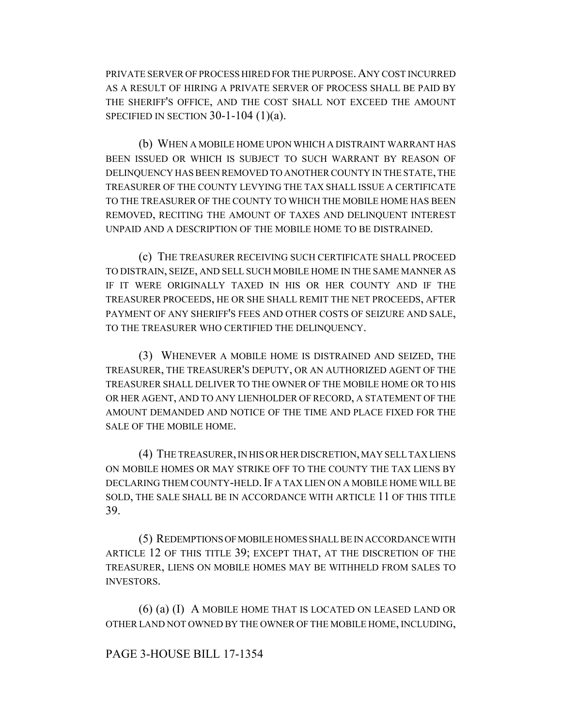PRIVATE SERVER OF PROCESS HIRED FOR THE PURPOSE.ANY COST INCURRED AS A RESULT OF HIRING A PRIVATE SERVER OF PROCESS SHALL BE PAID BY THE SHERIFF'S OFFICE, AND THE COST SHALL NOT EXCEED THE AMOUNT SPECIFIED IN SECTION  $30-1-104$  (1)(a).

(b) WHEN A MOBILE HOME UPON WHICH A DISTRAINT WARRANT HAS BEEN ISSUED OR WHICH IS SUBJECT TO SUCH WARRANT BY REASON OF DELINQUENCY HAS BEEN REMOVED TO ANOTHER COUNTY IN THE STATE, THE TREASURER OF THE COUNTY LEVYING THE TAX SHALL ISSUE A CERTIFICATE TO THE TREASURER OF THE COUNTY TO WHICH THE MOBILE HOME HAS BEEN REMOVED, RECITING THE AMOUNT OF TAXES AND DELINQUENT INTEREST UNPAID AND A DESCRIPTION OF THE MOBILE HOME TO BE DISTRAINED.

(c) THE TREASURER RECEIVING SUCH CERTIFICATE SHALL PROCEED TO DISTRAIN, SEIZE, AND SELL SUCH MOBILE HOME IN THE SAME MANNER AS IF IT WERE ORIGINALLY TAXED IN HIS OR HER COUNTY AND IF THE TREASURER PROCEEDS, HE OR SHE SHALL REMIT THE NET PROCEEDS, AFTER PAYMENT OF ANY SHERIFF'S FEES AND OTHER COSTS OF SEIZURE AND SALE, TO THE TREASURER WHO CERTIFIED THE DELINQUENCY.

(3) WHENEVER A MOBILE HOME IS DISTRAINED AND SEIZED, THE TREASURER, THE TREASURER'S DEPUTY, OR AN AUTHORIZED AGENT OF THE TREASURER SHALL DELIVER TO THE OWNER OF THE MOBILE HOME OR TO HIS OR HER AGENT, AND TO ANY LIENHOLDER OF RECORD, A STATEMENT OF THE AMOUNT DEMANDED AND NOTICE OF THE TIME AND PLACE FIXED FOR THE SALE OF THE MOBILE HOME.

(4) THE TREASURER, IN HIS OR HER DISCRETION, MAY SELL TAX LIENS ON MOBILE HOMES OR MAY STRIKE OFF TO THE COUNTY THE TAX LIENS BY DECLARING THEM COUNTY-HELD.IF A TAX LIEN ON A MOBILE HOME WILL BE SOLD, THE SALE SHALL BE IN ACCORDANCE WITH ARTICLE 11 OF THIS TITLE 39.

(5) REDEMPTIONS OF MOBILE HOMES SHALL BE IN ACCORDANCE WITH ARTICLE 12 OF THIS TITLE 39; EXCEPT THAT, AT THE DISCRETION OF THE TREASURER, LIENS ON MOBILE HOMES MAY BE WITHHELD FROM SALES TO INVESTORS.

(6) (a) (I) A MOBILE HOME THAT IS LOCATED ON LEASED LAND OR OTHER LAND NOT OWNED BY THE OWNER OF THE MOBILE HOME, INCLUDING,

## PAGE 3-HOUSE BILL 17-1354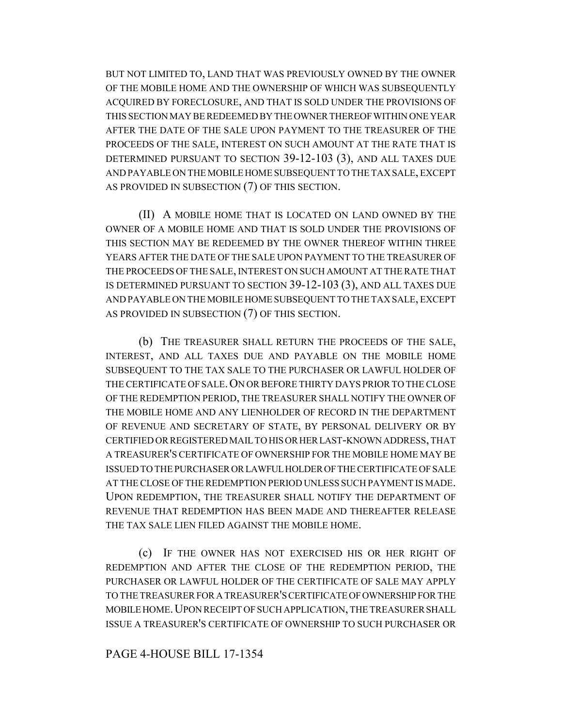BUT NOT LIMITED TO, LAND THAT WAS PREVIOUSLY OWNED BY THE OWNER OF THE MOBILE HOME AND THE OWNERSHIP OF WHICH WAS SUBSEQUENTLY ACQUIRED BY FORECLOSURE, AND THAT IS SOLD UNDER THE PROVISIONS OF THIS SECTION MAY BE REDEEMED BY THE OWNER THEREOF WITHIN ONE YEAR AFTER THE DATE OF THE SALE UPON PAYMENT TO THE TREASURER OF THE PROCEEDS OF THE SALE, INTEREST ON SUCH AMOUNT AT THE RATE THAT IS DETERMINED PURSUANT TO SECTION 39-12-103 (3), AND ALL TAXES DUE AND PAYABLE ON THE MOBILE HOME SUBSEQUENT TO THE TAX SALE, EXCEPT AS PROVIDED IN SUBSECTION (7) OF THIS SECTION.

(II) A MOBILE HOME THAT IS LOCATED ON LAND OWNED BY THE OWNER OF A MOBILE HOME AND THAT IS SOLD UNDER THE PROVISIONS OF THIS SECTION MAY BE REDEEMED BY THE OWNER THEREOF WITHIN THREE YEARS AFTER THE DATE OF THE SALE UPON PAYMENT TO THE TREASURER OF THE PROCEEDS OF THE SALE, INTEREST ON SUCH AMOUNT AT THE RATE THAT IS DETERMINED PURSUANT TO SECTION 39-12-103 (3), AND ALL TAXES DUE AND PAYABLE ON THE MOBILE HOME SUBSEQUENT TO THE TAX SALE, EXCEPT AS PROVIDED IN SUBSECTION (7) OF THIS SECTION.

(b) THE TREASURER SHALL RETURN THE PROCEEDS OF THE SALE, INTEREST, AND ALL TAXES DUE AND PAYABLE ON THE MOBILE HOME SUBSEQUENT TO THE TAX SALE TO THE PURCHASER OR LAWFUL HOLDER OF THE CERTIFICATE OF SALE.ON OR BEFORE THIRTY DAYS PRIOR TO THE CLOSE OF THE REDEMPTION PERIOD, THE TREASURER SHALL NOTIFY THE OWNER OF THE MOBILE HOME AND ANY LIENHOLDER OF RECORD IN THE DEPARTMENT OF REVENUE AND SECRETARY OF STATE, BY PERSONAL DELIVERY OR BY CERTIFIED OR REGISTERED MAIL TO HIS OR HER LAST-KNOWN ADDRESS, THAT A TREASURER'S CERTIFICATE OF OWNERSHIP FOR THE MOBILE HOME MAY BE ISSUED TO THE PURCHASER OR LAWFUL HOLDER OF THE CERTIFICATE OF SALE AT THE CLOSE OF THE REDEMPTION PERIOD UNLESS SUCH PAYMENT IS MADE. UPON REDEMPTION, THE TREASURER SHALL NOTIFY THE DEPARTMENT OF REVENUE THAT REDEMPTION HAS BEEN MADE AND THEREAFTER RELEASE THE TAX SALE LIEN FILED AGAINST THE MOBILE HOME.

(c) IF THE OWNER HAS NOT EXERCISED HIS OR HER RIGHT OF REDEMPTION AND AFTER THE CLOSE OF THE REDEMPTION PERIOD, THE PURCHASER OR LAWFUL HOLDER OF THE CERTIFICATE OF SALE MAY APPLY TO THE TREASURER FOR A TREASURER'S CERTIFICATE OF OWNERSHIP FOR THE MOBILE HOME.UPON RECEIPT OF SUCH APPLICATION, THE TREASURER SHALL ISSUE A TREASURER'S CERTIFICATE OF OWNERSHIP TO SUCH PURCHASER OR

## PAGE 4-HOUSE BILL 17-1354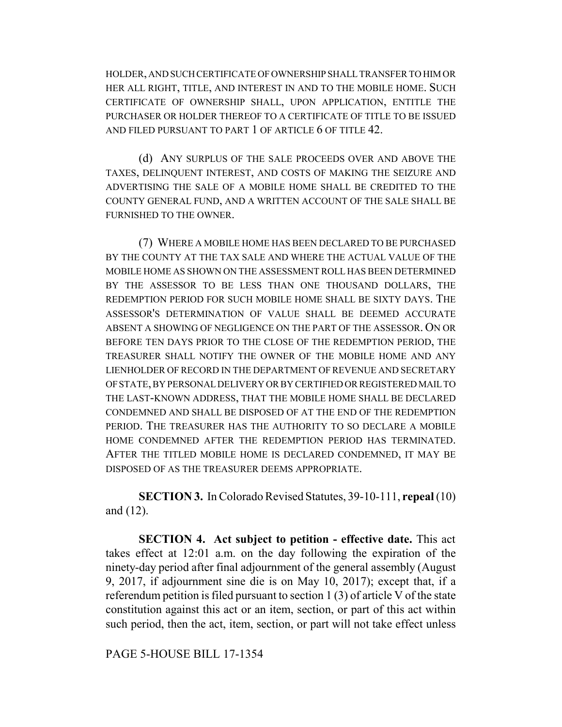HOLDER, AND SUCH CERTIFICATE OF OWNERSHIP SHALL TRANSFER TO HIM OR HER ALL RIGHT, TITLE, AND INTEREST IN AND TO THE MOBILE HOME. SUCH CERTIFICATE OF OWNERSHIP SHALL, UPON APPLICATION, ENTITLE THE PURCHASER OR HOLDER THEREOF TO A CERTIFICATE OF TITLE TO BE ISSUED AND FILED PURSUANT TO PART 1 OF ARTICLE 6 OF TITLE 42.

(d) ANY SURPLUS OF THE SALE PROCEEDS OVER AND ABOVE THE TAXES, DELINQUENT INTEREST, AND COSTS OF MAKING THE SEIZURE AND ADVERTISING THE SALE OF A MOBILE HOME SHALL BE CREDITED TO THE COUNTY GENERAL FUND, AND A WRITTEN ACCOUNT OF THE SALE SHALL BE FURNISHED TO THE OWNER.

(7) WHERE A MOBILE HOME HAS BEEN DECLARED TO BE PURCHASED BY THE COUNTY AT THE TAX SALE AND WHERE THE ACTUAL VALUE OF THE MOBILE HOME AS SHOWN ON THE ASSESSMENT ROLL HAS BEEN DETERMINED BY THE ASSESSOR TO BE LESS THAN ONE THOUSAND DOLLARS, THE REDEMPTION PERIOD FOR SUCH MOBILE HOME SHALL BE SIXTY DAYS. THE ASSESSOR'S DETERMINATION OF VALUE SHALL BE DEEMED ACCURATE ABSENT A SHOWING OF NEGLIGENCE ON THE PART OF THE ASSESSOR. ON OR BEFORE TEN DAYS PRIOR TO THE CLOSE OF THE REDEMPTION PERIOD, THE TREASURER SHALL NOTIFY THE OWNER OF THE MOBILE HOME AND ANY LIENHOLDER OF RECORD IN THE DEPARTMENT OF REVENUE AND SECRETARY OF STATE, BY PERSONAL DELIVERY OR BY CERTIFIED OR REGISTERED MAIL TO THE LAST-KNOWN ADDRESS, THAT THE MOBILE HOME SHALL BE DECLARED CONDEMNED AND SHALL BE DISPOSED OF AT THE END OF THE REDEMPTION PERIOD. THE TREASURER HAS THE AUTHORITY TO SO DECLARE A MOBILE HOME CONDEMNED AFTER THE REDEMPTION PERIOD HAS TERMINATED. AFTER THE TITLED MOBILE HOME IS DECLARED CONDEMNED, IT MAY BE DISPOSED OF AS THE TREASURER DEEMS APPROPRIATE.

**SECTION 3.** In Colorado Revised Statutes, 39-10-111, **repeal** (10) and (12).

**SECTION 4. Act subject to petition - effective date.** This act takes effect at 12:01 a.m. on the day following the expiration of the ninety-day period after final adjournment of the general assembly (August 9, 2017, if adjournment sine die is on May 10, 2017); except that, if a referendum petition is filed pursuant to section 1 (3) of article V of the state constitution against this act or an item, section, or part of this act within such period, then the act, item, section, or part will not take effect unless

PAGE 5-HOUSE BILL 17-1354